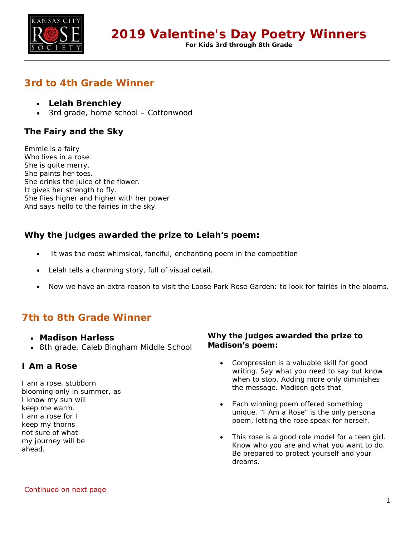

**For Kids 3rd through 8th Grade**

# **3rd to 4th Grade Winner**

- **Lelah Brenchley**
- 3rd grade, home school Cottonwood

## **The Fairy and the Sky**

Emmie is a fairy Who lives in a rose. She is quite merry. She paints her toes. She drinks the juice of the flower. It gives her strength to fly. She flies higher and higher with her power And says hello to the fairies in the sky.

## **Why the judges awarded the prize to Lelah's poem:**

- It was the most whimsical, fanciful, enchanting poem in the competition
- Lelah tells a charming story, full of visual detail.
- Now we have an extra reason to visit the Loose Park Rose Garden: to look for fairies in the blooms.

# **7th to 8th Grade Winner**

- **Madison Harless**
- 8th grade, Caleb Bingham Middle School

### **I Am a Rose**

I am a rose, stubborn blooming only in summer, as I know my sun will keep me warm. I am a rose for I keep my thorns not sure of what my journey will be ahead.

### **Why the judges awarded the prize to Madison's poem:**

- Compression is a valuable skill for good writing. Say what you need to say but know when to stop. Adding more only diminishes the message. Madison gets that.
- Each winning poem offered something unique. "I Am a Rose" is the only persona poem, letting the rose speak for herself.
- This rose is a good role model for a teen girl. Know who you are and what you want to do. Be prepared to protect yourself and your dreams.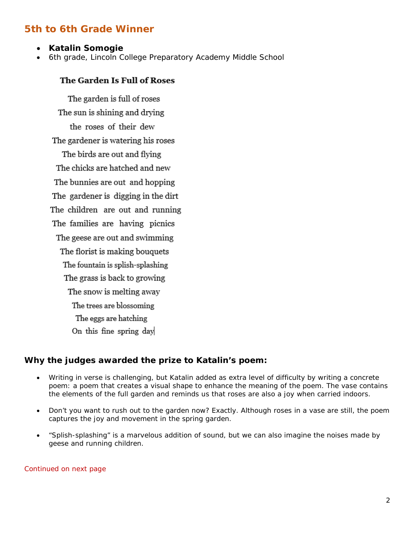# **5th to 6th Grade Winner**

- **Katalin Somogie**
- 6th grade, Lincoln College Preparatory Academy Middle School

### The Garden Is Full of Roses

The garden is full of roses The sun is shining and drying the roses of their dew The gardener is watering his roses The birds are out and flying The chicks are hatched and new The bunnies are out and hopping The gardener is digging in the dirt The children are out and running The families are having picnics The geese are out and swimming The florist is making bouquets The fountain is splish-splashing The grass is back to growing The snow is melting away The trees are blossoming The eggs are hatching On this fine spring day

### **Why the judges awarded the prize to Katalin's poem:**

- Writing in verse is challenging, but Katalin added as extra level of difficulty by writing a concrete poem: a poem that creates a visual shape to enhance the meaning of the poem. The vase contains the elements of the full garden and reminds us that roses are also a joy when carried indoors.
- Don't you want to rush out to the garden now? Exactly. Although roses in a vase are still, the poem captures the joy and movement in the spring garden.
- "Splish-splashing" is a marvelous addition of sound, but we can also imagine the noises made by geese and running children.

Continued on next page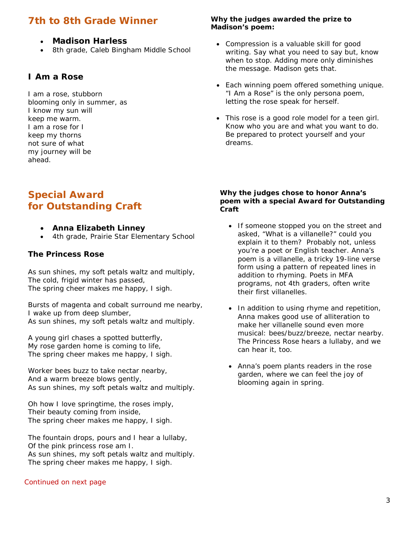# **7th to 8th Grade Winner**

- **Madison Harless**
- 8th grade, Caleb Bingham Middle School

### **I Am a Rose**

I am a rose, stubborn blooming only in summer, as I know my sun will keep me warm. I am a rose for I keep my thorns not sure of what my journey will be ahead.

# **Special Award for Outstanding Craft**

- **Anna Elizabeth Linney**
- 4th grade, Prairie Star Elementary School

#### **The Princess Rose**

As sun shines, my soft petals waltz and multiply, The cold, frigid winter has passed, The spring cheer makes me happy, I sigh.

Bursts of magenta and cobalt surround me nearby, I wake up from deep slumber, As sun shines, my soft petals waltz and multiply.

A young girl chases a spotted butterfly, My rose garden home is coming to life, The spring cheer makes me happy, I sigh.

Worker bees buzz to take nectar nearby, And a warm breeze blows gently, As sun shines, my soft petals waltz and multiply.

Oh how I love springtime, the roses imply, Their beauty coming from inside, The spring cheer makes me happy, I sigh.

The fountain drops, pours and I hear a lullaby, Of the pink princess rose am I. As sun shines, my soft petals waltz and multiply. The spring cheer makes me happy, I sigh.

#### Continued on next page

#### **Why the judges awarded the prize to Madison's poem:**

- Compression is a valuable skill for good writing. Say what you need to say but, know when to stop. Adding more only diminishes the message. Madison gets that.
- Each winning poem offered something unique. "I Am a Rose" is the only persona poem, letting the rose speak for herself.
- This rose is a good role model for a teen girl. Know who you are and what you want to do. Be prepared to protect yourself and your dreams.

#### **Why the judges chose to honor Anna's poem with a special Award for Outstanding Craft**

- If someone stopped you on the street and asked, "What is a villanelle?" could you explain it to them? Probably not, unless you're a poet or English teacher. Anna's poem is a villanelle, a tricky 19-line verse form using a pattern of repeated lines in addition to rhyming. Poets in MFA programs, not 4th graders, often write their first villanelles.
- In addition to using rhyme and repetition, Anna makes good use of alliteration to make her villanelle sound even more musical: bees/buzz/breeze, nectar nearby. The Princess Rose hears a lullaby, and we can hear it, too.
- Anna's poem plants readers in the rose garden, where we can feel the joy of blooming again in spring.